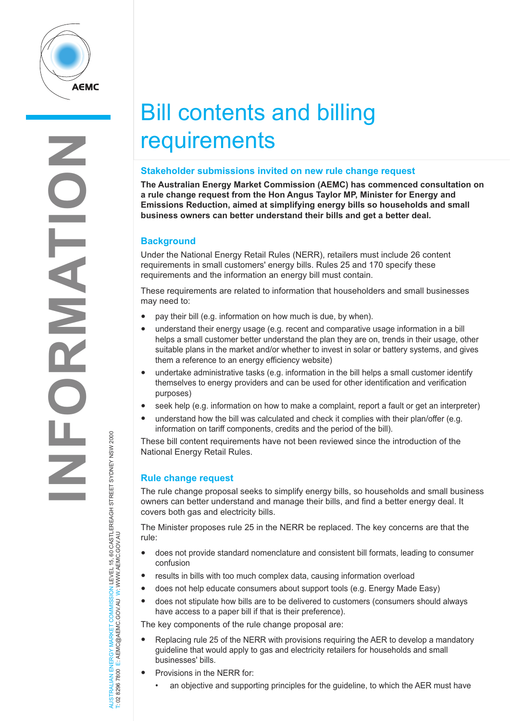

# Bill contents and billing **requirements**

#### **Stakeholder submissions invited on new rule change request**

**The Australian Energy Market Commission (AEMC) has commenced consultation on a rule change request from the Hon Angus Taylor MP, Minister for Energy and Emissions Reduction, aimed at simplifying energy bills so households and small business owners can better understand their bills and get a better deal.**

## **Background**

Under the National Energy Retail Rules (NERR), retailers must include 26 content requirements in small customers' energy bills. Rules 25 and 170 specify these requirements and the information an energy bill must contain.

These requirements are related to information that householders and small businesses may need to:

- pay their bill (e.g. information on how much is due, by when).
- understand their energy usage (e.g. recent and comparative usage information in a bill helps a small customer better understand the plan they are on, trends in their usage, other suitable plans in the market and/or whether to invest in solar or battery systems, and gives them a reference to an energy efficiency website)
- undertake administrative tasks (e.g. information in the bill helps a small customer identify themselves to energy providers and can be used for other identification and verification purposes)
- seek help (e.g. information on how to make a complaint, report a fault or get an interpreter)
- understand how the bill was calculated and check it complies with their plan/offer (e.g. information on tariff components, credits and the period of the bill).

These bill content requirements have not been reviewed since the introduction of the National Energy Retail Rules.

## **Rule change request**

AUSTRALIAN ENERGY MARKET COMMISSION LEVEL 15, 60 CASTLEREAGH STREET SYDNEY NSW 2000

AUSTRALIAN ENERGY MARKET COMMISSION LEVEL 15, 60 CASTLEREAGH STREET SYDNEY NSW 2000<br>T: 02 8296 7800 E: AEMC@AEMC.GOV.AU W: WWW.AEMC.GOV.AU

T: 02 8296 7800 E: AEMC@AEMC.GOV.AU W: WWW.AEMC.GOV.AU

The rule change proposal seeks to simplify energy bills, so households and small business owners can better understand and manage their bills, and find a better energy deal. It covers both gas and electricity bills.

The Minister proposes rule 25 in the NERR be replaced. The key concerns are that the rule:

- does not provide standard nomenclature and consistent bill formats, leading to consumer confusion
- results in bills with too much complex data, causing information overload
- does not help educate consumers about support tools (e.g. Energy Made Easy)
- does not stipulate how bills are to be delivered to customers (consumers should always have access to a paper bill if that is their preference).

The key components of the rule change proposal are:

- Replacing rule 25 of the NERR with provisions requiring the AER to develop a mandatory guideline that would apply to gas and electricity retailers for households and small businesses' bills.
- Provisions in the NERR for:
	- an objective and supporting principles for the guideline, to which the AER must have